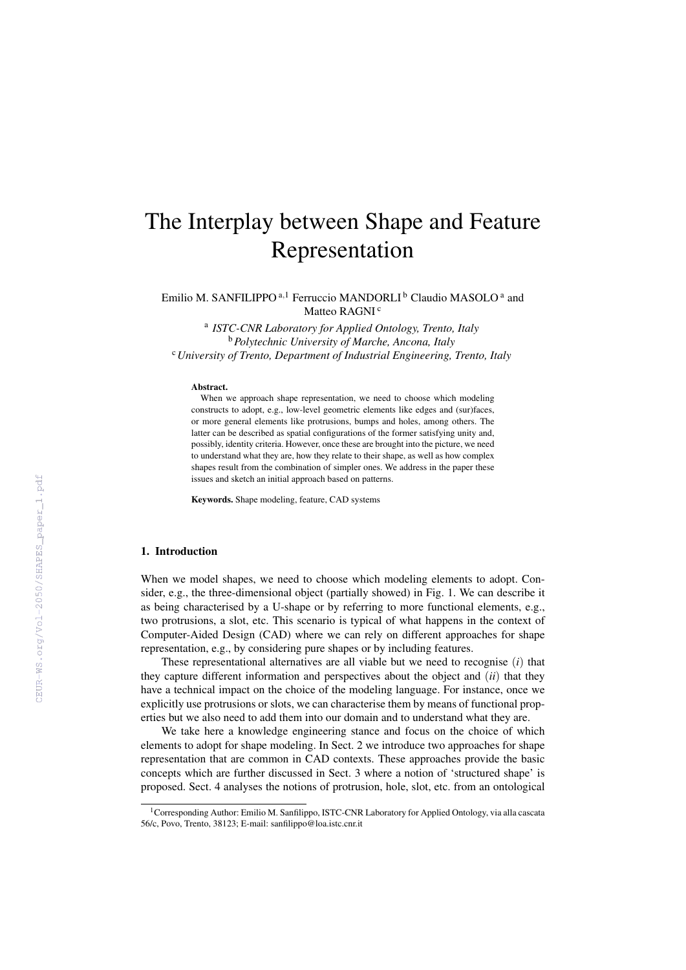# The Interplay between Shape and Feature Representation

Emilio M. SANFILIPPO<sup>a,1</sup> Ferruccio MANDORLI<sup>b</sup> Claudio MASOLO<sup>a</sup> and Matteo RAGNI<sup>c</sup>

a *ISTC-CNR Laboratory for Applied Ontology, Trento, Italy* <sup>b</sup>*Polytechnic University of Marche, Ancona, Italy* <sup>c</sup>*University of Trento, Department of Industrial Engineering, Trento, Italy*

#### Abstract.

When we approach shape representation, we need to choose which modeling constructs to adopt, e.g., low-level geometric elements like edges and (sur)faces, or more general elements like protrusions, bumps and holes, among others. The latter can be described as spatial configurations of the former satisfying unity and, possibly, identity criteria. However, once these are brought into the picture, we need to understand what they are, how they relate to their shape, as well as how complex shapes result from the combination of simpler ones. We address in the paper these issues and sketch an initial approach based on patterns.

Keywords. Shape modeling, feature, CAD systems

## 1. Introduction

When we model shapes, we need to choose which modeling elements to adopt. Consider, e.g., the three-dimensional object (partially showed) in Fig. 1. We can describe it as being characterised by a U-shape or by referring to more functional elements, e.g., two protrusions, a slot, etc. This scenario is typical of what happens in the context of Computer-Aided Design (CAD) where we can rely on different approaches for shape representation, e.g., by considering pure shapes or by including features.

These representational alternatives are all viable but we need to recognise (*i*) that they capture different information and perspectives about the object and (*ii*) that they have a technical impact on the choice of the modeling language. For instance, once we explicitly use protrusions or slots, we can characterise them by means of functional properties but we also need to add them into our domain and to understand what they are.

We take here a knowledge engineering stance and focus on the choice of which elements to adopt for shape modeling. In Sect. 2 we introduce two approaches for shape representation that are common in CAD contexts. These approaches provide the basic concepts which are further discussed in Sect. 3 where a notion of 'structured shape' is proposed. Sect. 4 analyses the notions of protrusion, hole, slot, etc. from an ontological

<sup>&</sup>lt;sup>1</sup> Corresponding Author: Emilio M. Sanfilippo, ISTC-CNR Laboratory for Applied Ontology, via alla cascata 56/c, Povo, Trento, 38123; E-mail: sanfilippo@loa.istc.cnr.it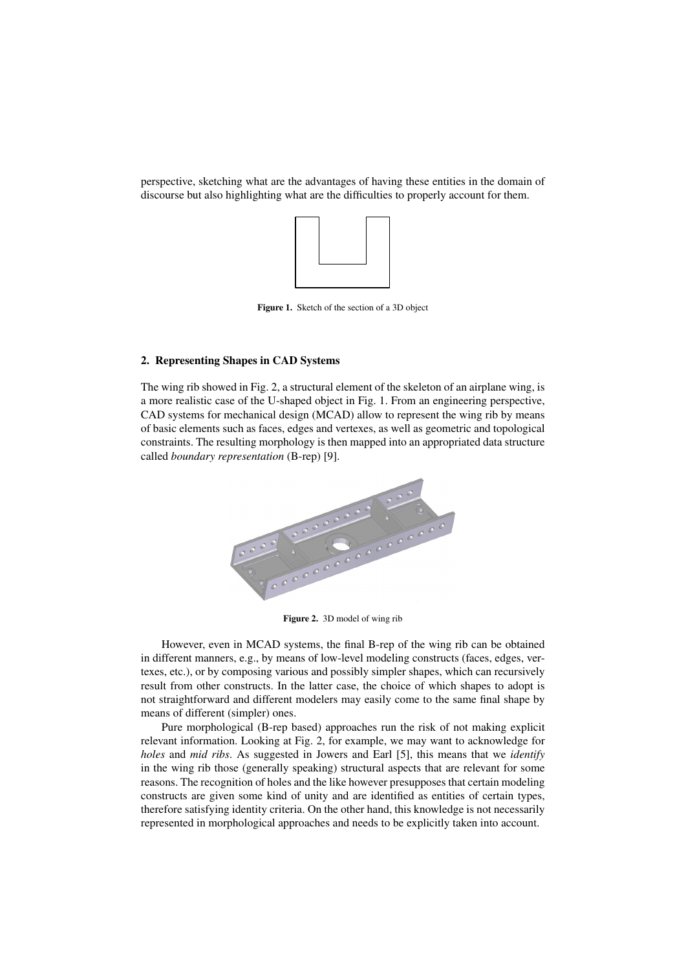perspective, sketching what are the advantages of having these entities in the domain of discourse but also highlighting what are the difficulties to properly account for them.



Figure 1. Sketch of the section of a 3D object

## 2. Representing Shapes in CAD Systems

The wing rib showed in Fig. 2, a structural element of the skeleton of an airplane wing, is a more realistic case of the U-shaped object in Fig. 1. From an engineering perspective, CAD systems for mechanical design (MCAD) allow to represent the wing rib by means of basic elements such as faces, edges and vertexes, as well as geometric and topological constraints. The resulting morphology is then mapped into an appropriated data structure called *boundary representation* (B-rep) [9].



Figure 2. 3D model of wing rib

However, even in MCAD systems, the final B-rep of the wing rib can be obtained in different manners, e.g., by means of low-level modeling constructs (faces, edges, vertexes, etc.), or by composing various and possibly simpler shapes, which can recursively result from other constructs. In the latter case, the choice of which shapes to adopt is not straightforward and different modelers may easily come to the same final shape by means of different (simpler) ones.

Pure morphological (B-rep based) approaches run the risk of not making explicit relevant information. Looking at Fig. 2, for example, we may want to acknowledge for *holes* and *mid ribs*. As suggested in Jowers and Earl [5], this means that we *identify* in the wing rib those (generally speaking) structural aspects that are relevant for some reasons. The recognition of holes and the like however presupposes that certain modeling constructs are given some kind of unity and are identified as entities of certain types, therefore satisfying identity criteria. On the other hand, this knowledge is not necessarily represented in morphological approaches and needs to be explicitly taken into account.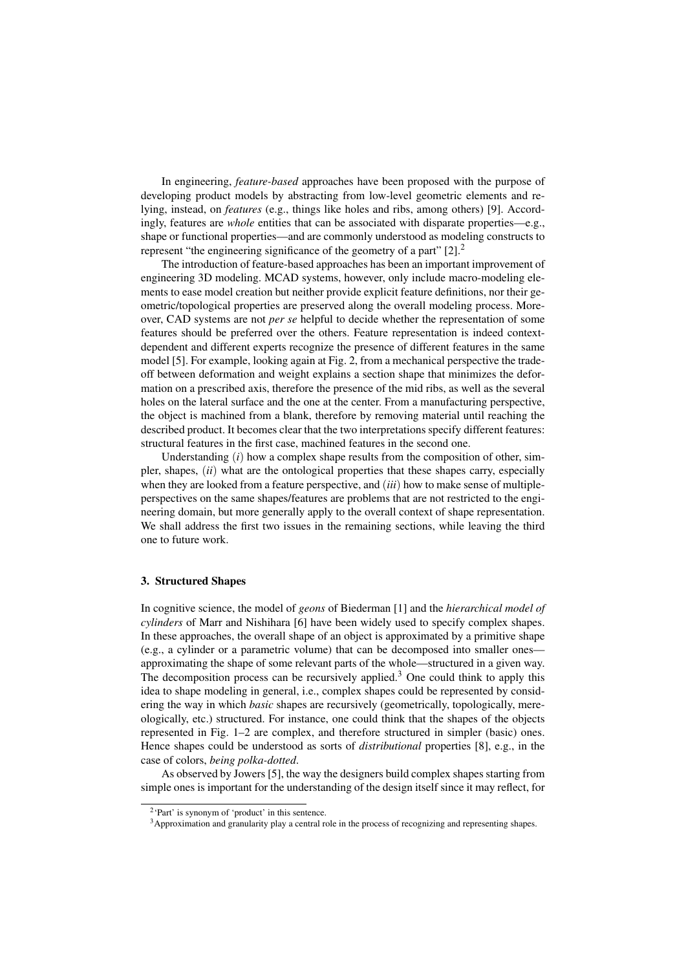In engineering, *feature-based* approaches have been proposed with the purpose of developing product models by abstracting from low-level geometric elements and relying, instead, on *features* (e.g., things like holes and ribs, among others) [9]. Accordingly, features are *whole* entities that can be associated with disparate properties—e.g., shape or functional properties—and are commonly understood as modeling constructs to represent "the engineering significance of the geometry of a part"  $[2]$ .<sup>2</sup>

The introduction of feature-based approaches has been an important improvement of engineering 3D modeling. MCAD systems, however, only include macro-modeling elements to ease model creation but neither provide explicit feature definitions, nor their geometric/topological properties are preserved along the overall modeling process. Moreover, CAD systems are not *per se* helpful to decide whether the representation of some features should be preferred over the others. Feature representation is indeed contextdependent and different experts recognize the presence of different features in the same model [5]. For example, looking again at Fig. 2, from a mechanical perspective the tradeoff between deformation and weight explains a section shape that minimizes the deformation on a prescribed axis, therefore the presence of the mid ribs, as well as the several holes on the lateral surface and the one at the center. From a manufacturing perspective, the object is machined from a blank, therefore by removing material until reaching the described product. It becomes clear that the two interpretations specify different features: structural features in the first case, machined features in the second one.

Understanding (*i*) how a complex shape results from the composition of other, simpler, shapes, (*ii*) what are the ontological properties that these shapes carry, especially when they are looked from a feature perspective, and (*iii*) how to make sense of multipleperspectives on the same shapes/features are problems that are not restricted to the engineering domain, but more generally apply to the overall context of shape representation. We shall address the first two issues in the remaining sections, while leaving the third one to future work.

#### 3. Structured Shapes

In cognitive science, the model of *geons* of Biederman [1] and the *hierarchical model of cylinders* of Marr and Nishihara [6] have been widely used to specify complex shapes. In these approaches, the overall shape of an object is approximated by a primitive shape (e.g., a cylinder or a parametric volume) that can be decomposed into smaller ones approximating the shape of some relevant parts of the whole—structured in a given way. The decomposition process can be recursively applied.<sup>3</sup> One could think to apply this idea to shape modeling in general, i.e., complex shapes could be represented by considering the way in which *basic* shapes are recursively (geometrically, topologically, mereologically, etc.) structured. For instance, one could think that the shapes of the objects represented in Fig. 1–2 are complex, and therefore structured in simpler (basic) ones. Hence shapes could be understood as sorts of *distributional* properties [8], e.g., in the case of colors, *being polka-dotted*.

As observed by Jowers [5], the way the designers build complex shapes starting from simple ones is important for the understanding of the design itself since it may reflect, for

<sup>2</sup> 'Part' is synonym of 'product' in this sentence.

<sup>&</sup>lt;sup>3</sup>Approximation and granularity play a central role in the process of recognizing and representing shapes.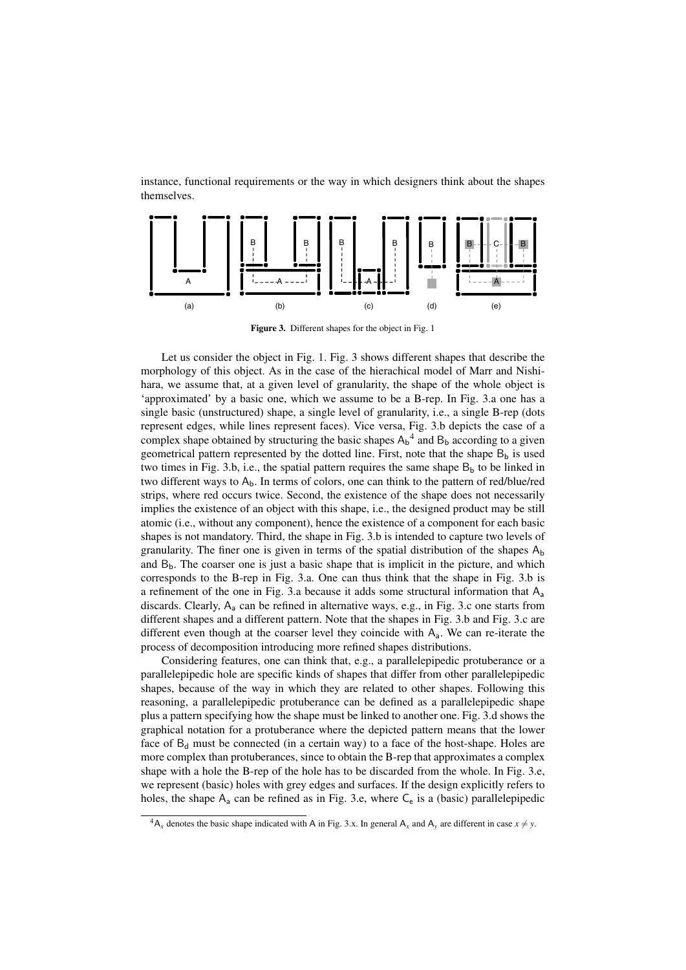instance, functional requirements or the way in which designers think about the shapes themselves.



Figure 3. Different shapes for the object in Fig. 1

Let us consider the object in Fig. 1. Fig. 3 shows different shapes that describe the morphology of this object. As in the case of the hierachical model of Marr and Nishihara, we assume that, at a given level of granularity, the shape of the whole object is 'approximated' by a basic one, which we assume to be a B-rep. In Fig. 3.a one has a single basic (unstructured) shape, a single level of granularity, i.e., a single B-rep (dots represent edges, while lines represent faces). Vice versa, Fig. 3.b depicts the case of a complex shape obtained by structuring the basic shapes  $A_b^4$  and  $B_b$  according to a given geometrical pattern represented by the dotted line. First, note that the shape  $B_b$  is used two times in Fig. 3.b, i.e., the spatial pattern requires the same shape  $B_b$  to be linked in two different ways to  $A_b$ . In terms of colors, one can think to the pattern of red/blue/red strips, where red occurs twice. Second, the existence of the shape does not necessarily implies the existence of an object with this shape, i.e., the designed product may be still atomic (i.e., without any component), hence the existence of a component for each basic shapes is not mandatory. Third, the shape in Fig. 3.b is intended to capture two levels of granularity. The finer one is given in terms of the spatial distribution of the shapes  $A_b$ and  $B<sub>b</sub>$ . The coarser one is just a basic shape that is implicit in the picture, and which corresponds to the B-rep in Fig. 3.a. One can thus think that the shape in Fig. 3.b is a refinement of the one in Fig. 3.a because it adds some structural information that  $A_a$ discards. Clearly,  $A_a$  can be refined in alternative ways, e.g., in Fig. 3.c one starts from different shapes and a different pattern. Note that the shapes in Fig. 3.b and Fig. 3.c are different even though at the coarser level they coincide with  $A<sub>a</sub>$ . We can re-iterate the process of decomposition introducing more refined shapes distributions.

Considering features, one can think that, e.g., a parallelepipedic protuberance or a parallelepipedic hole are specific kinds of shapes that differ from other parallelepipedic shapes, because of the way in which they are related to other shapes. Following this reasoning, a parallelepipedic protuberance can be defined as a parallelepipedic shape plus a pattern specifying how the shape must be linked to another one. Fig. 3.d shows the graphical notation for a protuberance where the depicted pattern means that the lower face of  $B_d$  must be connected (in a certain way) to a face of the host-shape. Holes are more complex than protuberances, since to obtain the B-rep that approximates a complex shape with a hole the B-rep of the hole has to be discarded from the whole. In Fig. 3.e, we represent (basic) holes with grey edges and surfaces. If the design explicitly refers to holes, the shape  $A_a$  can be refined as in Fig. 3.e, where  $C_e$  is a (basic) parallelepipedic

 ${}^4A_x$  denotes the basic shape indicated with A in Fig. 3.x. In general A<sub>x</sub> and A<sub>y</sub> are different in case  $x \neq y$ .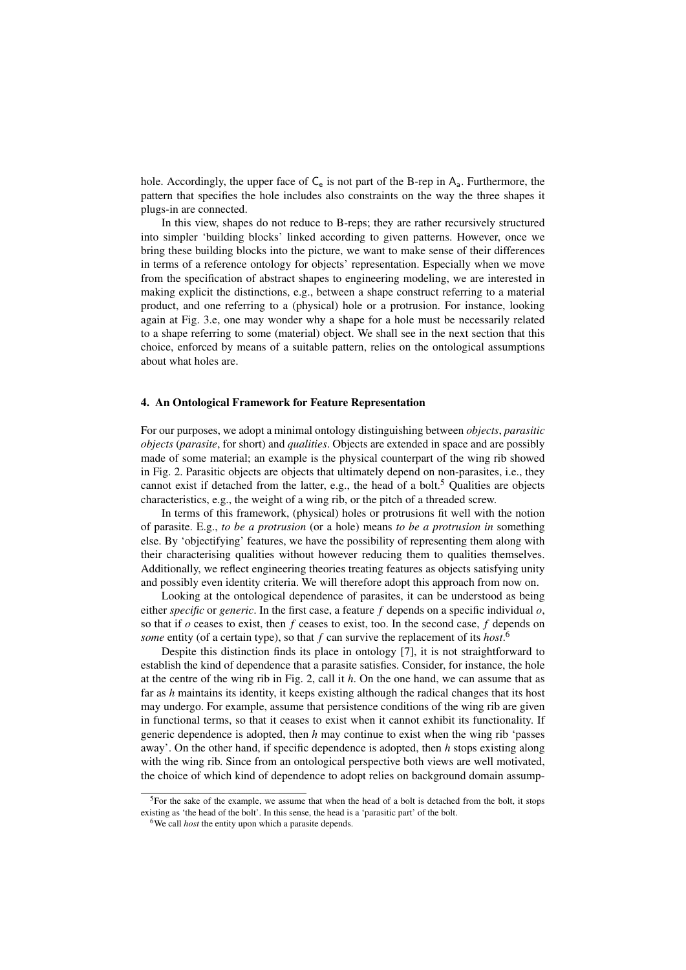hole. Accordingly, the upper face of  $C_e$  is not part of the B-rep in  $A_a$ . Furthermore, the pattern that specifies the hole includes also constraints on the way the three shapes it plugs-in are connected.

In this view, shapes do not reduce to B-reps; they are rather recursively structured into simpler 'building blocks' linked according to given patterns. However, once we bring these building blocks into the picture, we want to make sense of their differences in terms of a reference ontology for objects' representation. Especially when we move from the specification of abstract shapes to engineering modeling, we are interested in making explicit the distinctions, e.g., between a shape construct referring to a material product, and one referring to a (physical) hole or a protrusion. For instance, looking again at Fig. 3.e, one may wonder why a shape for a hole must be necessarily related to a shape referring to some (material) object. We shall see in the next section that this choice, enforced by means of a suitable pattern, relies on the ontological assumptions about what holes are.

### 4. An Ontological Framework for Feature Representation

For our purposes, we adopt a minimal ontology distinguishing between *objects*, *parasitic objects* (*parasite*, for short) and *qualities*. Objects are extended in space and are possibly made of some material; an example is the physical counterpart of the wing rib showed in Fig. 2. Parasitic objects are objects that ultimately depend on non-parasites, i.e., they cannot exist if detached from the latter, e.g., the head of a bolt.<sup>5</sup> Qualities are objects characteristics, e.g., the weight of a wing rib, or the pitch of a threaded screw.

In terms of this framework, (physical) holes or protrusions fit well with the notion of parasite. E.g., *to be a protrusion* (or a hole) means *to be a protrusion in* something else. By 'objectifying' features, we have the possibility of representing them along with their characterising qualities without however reducing them to qualities themselves. Additionally, we reflect engineering theories treating features as objects satisfying unity and possibly even identity criteria. We will therefore adopt this approach from now on.

Looking at the ontological dependence of parasites, it can be understood as being either *specific* or *generic*. In the first case, a feature *f* depends on a specific individual *o*, so that if *o* ceases to exist, then *f* ceases to exist, too. In the second case, *f* depends on *some* entity (of a certain type), so that *f* can survive the replacement of its *host*. 6

Despite this distinction finds its place in ontology [7], it is not straightforward to establish the kind of dependence that a parasite satisfies. Consider, for instance, the hole at the centre of the wing rib in Fig. 2, call it *h*. On the one hand, we can assume that as far as *h* maintains its identity, it keeps existing although the radical changes that its host may undergo. For example, assume that persistence conditions of the wing rib are given in functional terms, so that it ceases to exist when it cannot exhibit its functionality. If generic dependence is adopted, then *h* may continue to exist when the wing rib 'passes away'. On the other hand, if specific dependence is adopted, then *h* stops existing along with the wing rib. Since from an ontological perspective both views are well motivated, the choice of which kind of dependence to adopt relies on background domain assump-

 $5$ For the sake of the example, we assume that when the head of a bolt is detached from the bolt, it stops existing as 'the head of the bolt'. In this sense, the head is a 'parasitic part' of the bolt.

<sup>&</sup>lt;sup>6</sup>We call *host* the entity upon which a parasite depends.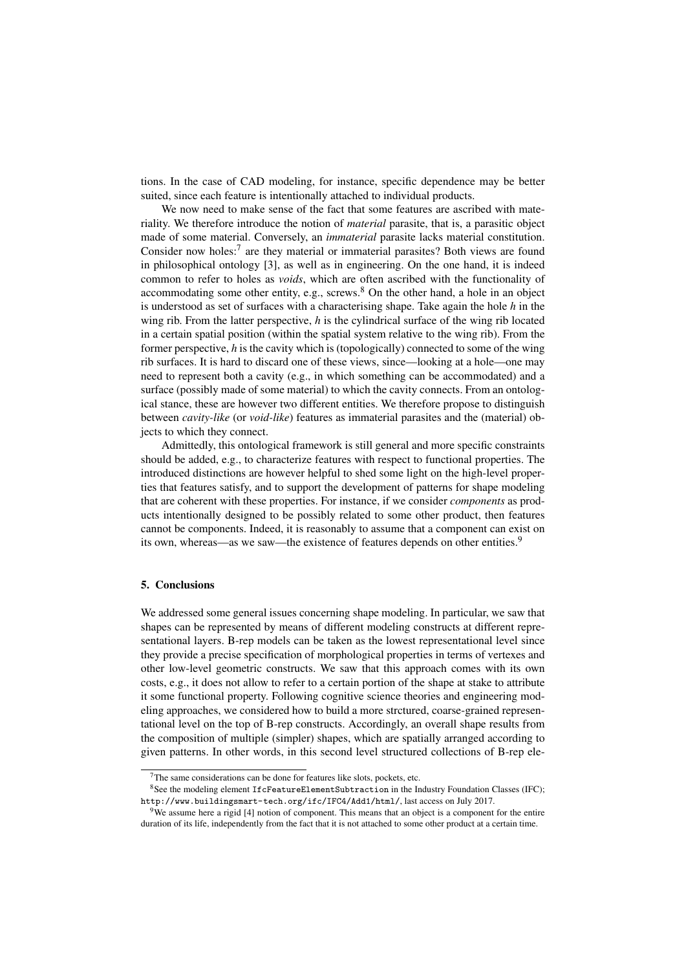tions. In the case of CAD modeling, for instance, specific dependence may be better suited, since each feature is intentionally attached to individual products.

We now need to make sense of the fact that some features are ascribed with materiality. We therefore introduce the notion of *material* parasite, that is, a parasitic object made of some material. Conversely, an *immaterial* parasite lacks material constitution. Consider now holes: $7$  are they material or immaterial parasites? Both views are found in philosophical ontology [3], as well as in engineering. On the one hand, it is indeed common to refer to holes as *voids*, which are often ascribed with the functionality of accommodating some other entity, e.g., screws.<sup>8</sup> On the other hand, a hole in an object is understood as set of surfaces with a characterising shape. Take again the hole *h* in the wing rib. From the latter perspective, *h* is the cylindrical surface of the wing rib located in a certain spatial position (within the spatial system relative to the wing rib). From the former perspective, *h* is the cavity which is (topologically) connected to some of the wing rib surfaces. It is hard to discard one of these views, since—looking at a hole—one may need to represent both a cavity (e.g., in which something can be accommodated) and a surface (possibly made of some material) to which the cavity connects. From an ontological stance, these are however two different entities. We therefore propose to distinguish between *cavity-like* (or *void-like*) features as immaterial parasites and the (material) objects to which they connect.

Admittedly, this ontological framework is still general and more specific constraints should be added, e.g., to characterize features with respect to functional properties. The introduced distinctions are however helpful to shed some light on the high-level properties that features satisfy, and to support the development of patterns for shape modeling that are coherent with these properties. For instance, if we consider *components* as products intentionally designed to be possibly related to some other product, then features cannot be components. Indeed, it is reasonably to assume that a component can exist on its own, whereas—as we saw—the existence of features depends on other entities.<sup>9</sup>

## 5. Conclusions

We addressed some general issues concerning shape modeling. In particular, we saw that shapes can be represented by means of different modeling constructs at different representational layers. B-rep models can be taken as the lowest representational level since they provide a precise specification of morphological properties in terms of vertexes and other low-level geometric constructs. We saw that this approach comes with its own costs, e.g., it does not allow to refer to a certain portion of the shape at stake to attribute it some functional property. Following cognitive science theories and engineering modeling approaches, we considered how to build a more strctured, coarse-grained representational level on the top of B-rep constructs. Accordingly, an overall shape results from the composition of multiple (simpler) shapes, which are spatially arranged according to given patterns. In other words, in this second level structured collections of B-rep ele-

 $7$ The same considerations can be done for features like slots, pockets, etc.

 $8$ See the modeling element IfcFeatureElementSubtraction in the Industry Foundation Classes (IFC); http://www.buildingsmart-tech.org/ifc/IFC4/Add1/html/, last access on July 2017.

We assume here a rigid [4] notion of component. This means that an object is a component for the entire duration of its life, independently from the fact that it is not attached to some other product at a certain time.